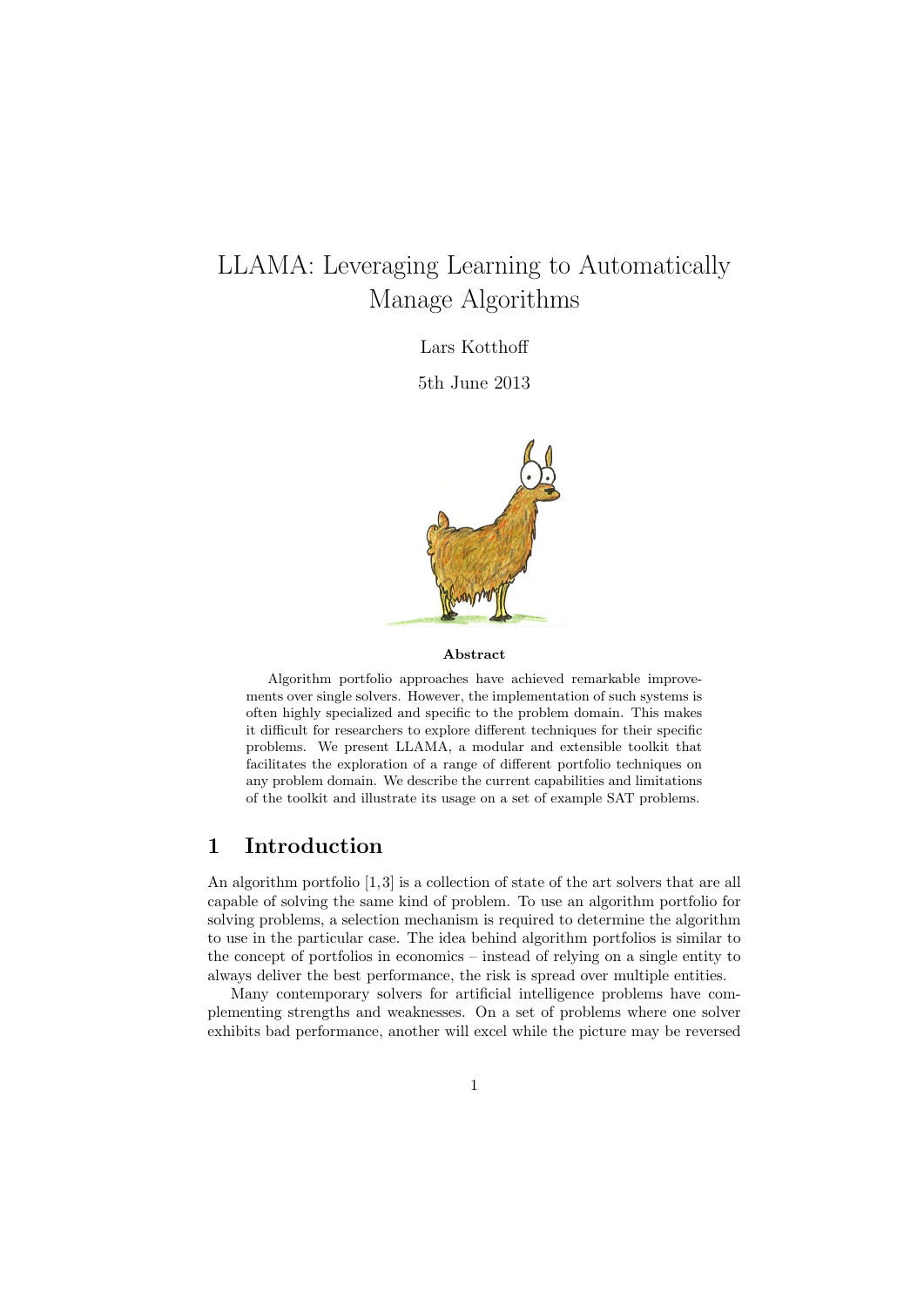# LLAMA: Leveraging Learning to Automatically Manage Algorithms

Lars Kotthoff

5th June 2013



#### **Abstract**

Algorithm portfolio approaches have achieved remarkable improvements over single solvers. However, the implementation of such systems is often highly specialized and specific to the problem domain. This makes it difficult for researchers to explore different techniques for their specific problems. We present LLAMA, a modular and extensible toolkit that facilitates the exploration of a range of different portfolio techniques on any problem domain. We describe the current capabilities and limitations of the toolkit and illustrate its usage on a set of example SAT problems.

### **1 Introduction**

An algorithm portfolio [1, 3] is a collection of state of the art solvers that are all capable of solving the same kind of problem. To use an algorithm portfolio for solving problems, a selection mechanism is required to determine the algorithm to use in the particular case. The idea behind algorithm portfolios is similar to the concept of portfolios in economics – instead of relying on a single entity to always deliver the best performance, the risk is spread over multiple entities.

Many contemporary solvers for artificial intelligence problems have complementing strengths and weaknesses. On a set of problems where one solver exhibits bad performance, another will excel while the picture may be reversed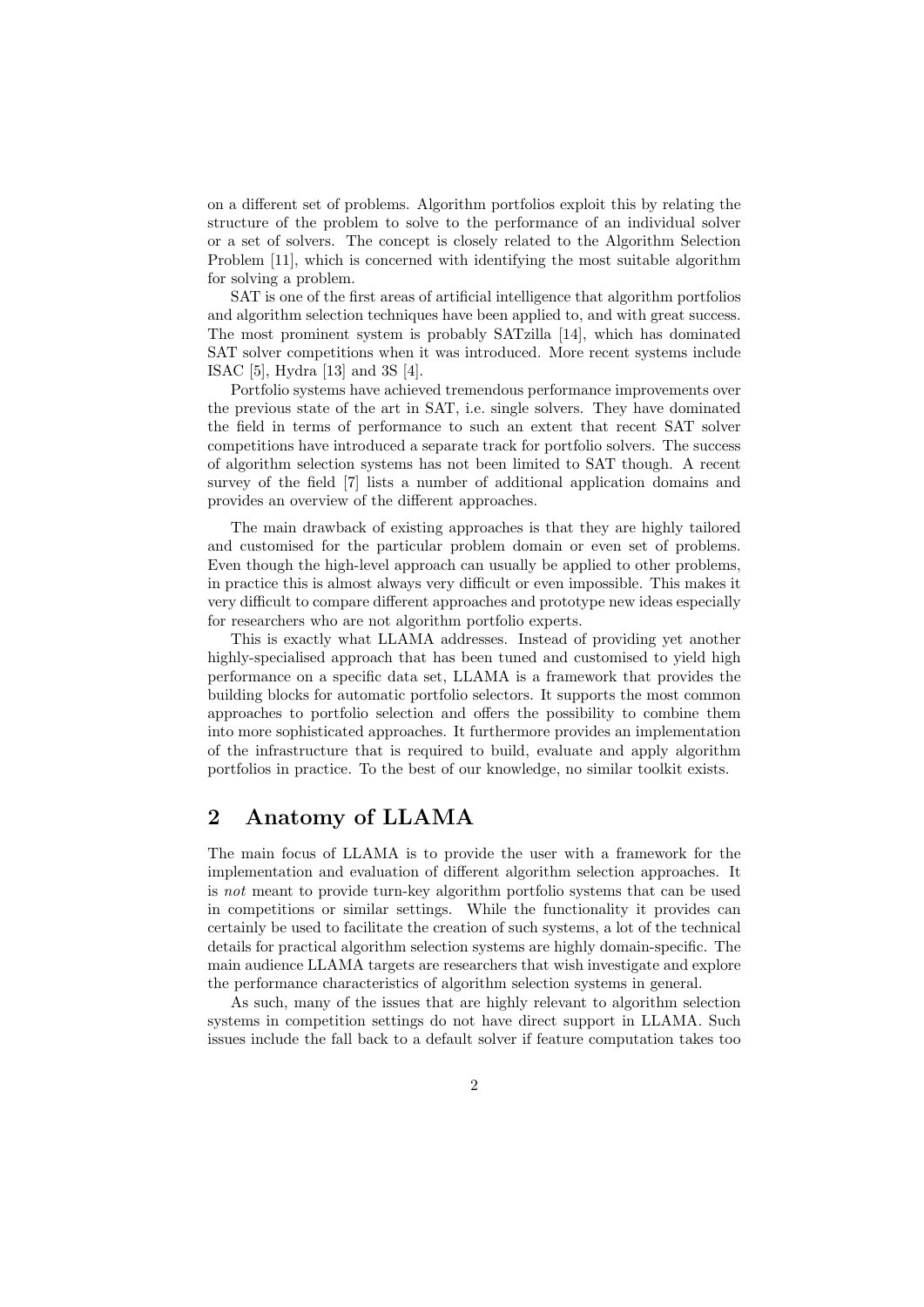on a different set of problems. Algorithm portfolios exploit this by relating the structure of the problem to solve to the performance of an individual solver or a set of solvers. The concept is closely related to the Algorithm Selection Problem [11], which is concerned with identifying the most suitable algorithm for solving a problem.

SAT is one of the first areas of artificial intelligence that algorithm portfolios and algorithm selection techniques have been applied to, and with great success. The most prominent system is probably SATzilla [14], which has dominated SAT solver competitions when it was introduced. More recent systems include ISAC [5], Hydra [13] and 3S [4].

Portfolio systems have achieved tremendous performance improvements over the previous state of the art in SAT, i.e. single solvers. They have dominated the field in terms of performance to such an extent that recent SAT solver competitions have introduced a separate track for portfolio solvers. The success of algorithm selection systems has not been limited to SAT though. A recent survey of the field [7] lists a number of additional application domains and provides an overview of the different approaches.

The main drawback of existing approaches is that they are highly tailored and customised for the particular problem domain or even set of problems. Even though the high-level approach can usually be applied to other problems, in practice this is almost always very difficult or even impossible. This makes it very difficult to compare different approaches and prototype new ideas especially for researchers who are not algorithm portfolio experts.

This is exactly what LLAMA addresses. Instead of providing yet another highly-specialised approach that has been tuned and customised to yield high performance on a specific data set, LLAMA is a framework that provides the building blocks for automatic portfolio selectors. It supports the most common approaches to portfolio selection and offers the possibility to combine them into more sophisticated approaches. It furthermore provides an implementation of the infrastructure that is required to build, evaluate and apply algorithm portfolios in practice. To the best of our knowledge, no similar toolkit exists.

### **2 Anatomy of LLAMA**

The main focus of LLAMA is to provide the user with a framework for the implementation and evaluation of different algorithm selection approaches. It is *not* meant to provide turn-key algorithm portfolio systems that can be used in competitions or similar settings. While the functionality it provides can certainly be used to facilitate the creation of such systems, a lot of the technical details for practical algorithm selection systems are highly domain-specific. The main audience LLAMA targets are researchers that wish investigate and explore the performance characteristics of algorithm selection systems in general.

As such, many of the issues that are highly relevant to algorithm selection systems in competition settings do not have direct support in LLAMA. Such issues include the fall back to a default solver if feature computation takes too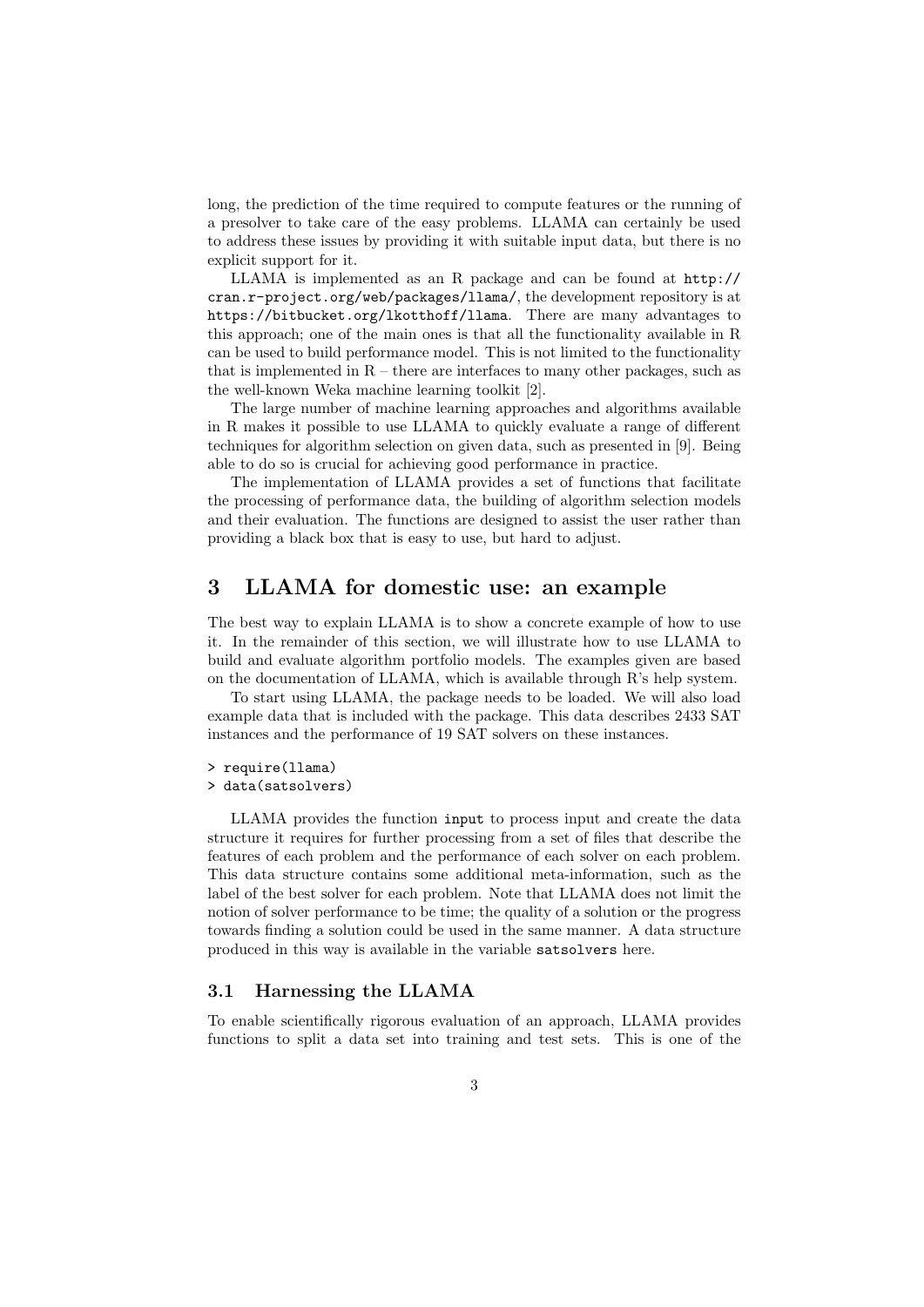long, the prediction of the time required to compute features or the running of a presolver to take care of the easy problems. LLAMA can certainly be used to address these issues by providing it with suitable input data, but there is no explicit support for it.

LLAMA is implemented as an R package and can be found at http:// cran.r-project.org/web/packages/llama/, the development repository is at https://bitbucket.org/lkotthoff/llama. There are many advantages to this approach; one of the main ones is that all the functionality available in R can be used to build performance model. This is not limited to the functionality that is implemented in  $R$  – there are interfaces to many other packages, such as the well-known Weka machine learning toolkit [2].

The large number of machine learning approaches and algorithms available in R makes it possible to use LLAMA to quickly evaluate a range of different techniques for algorithm selection on given data, such as presented in [9]. Being able to do so is crucial for achieving good performance in practice.

The implementation of LLAMA provides a set of functions that facilitate the processing of performance data, the building of algorithm selection models and their evaluation. The functions are designed to assist the user rather than providing a black box that is easy to use, but hard to adjust.

### **3 LLAMA for domestic use: an example**

The best way to explain LLAMA is to show a concrete example of how to use it. In the remainder of this section, we will illustrate how to use LLAMA to build and evaluate algorithm portfolio models. The examples given are based on the documentation of LLAMA, which is available through  $R$ 's help system.

To start using LLAMA, the package needs to be loaded. We will also load example data that is included with the package. This data describes 2433 SAT instances and the performance of 19 SAT solvers on these instances.

```
> require(llama)
```

```
> data(satsolvers)
```
LLAMA provides the function input to process input and create the data structure it requires for further processing from a set of files that describe the features of each problem and the performance of each solver on each problem. This data structure contains some additional meta-information, such as the label of the best solver for each problem. Note that LLAMA does not limit the notion of solver performance to be time; the quality of a solution or the progress towards finding a solution could be used in the same manner. A data structure produced in this way is available in the variable satsolvers here.

#### **3.1 Harnessing the LLAMA**

To enable scientifically rigorous evaluation of an approach, LLAMA provides functions to split a data set into training and test sets. This is one of the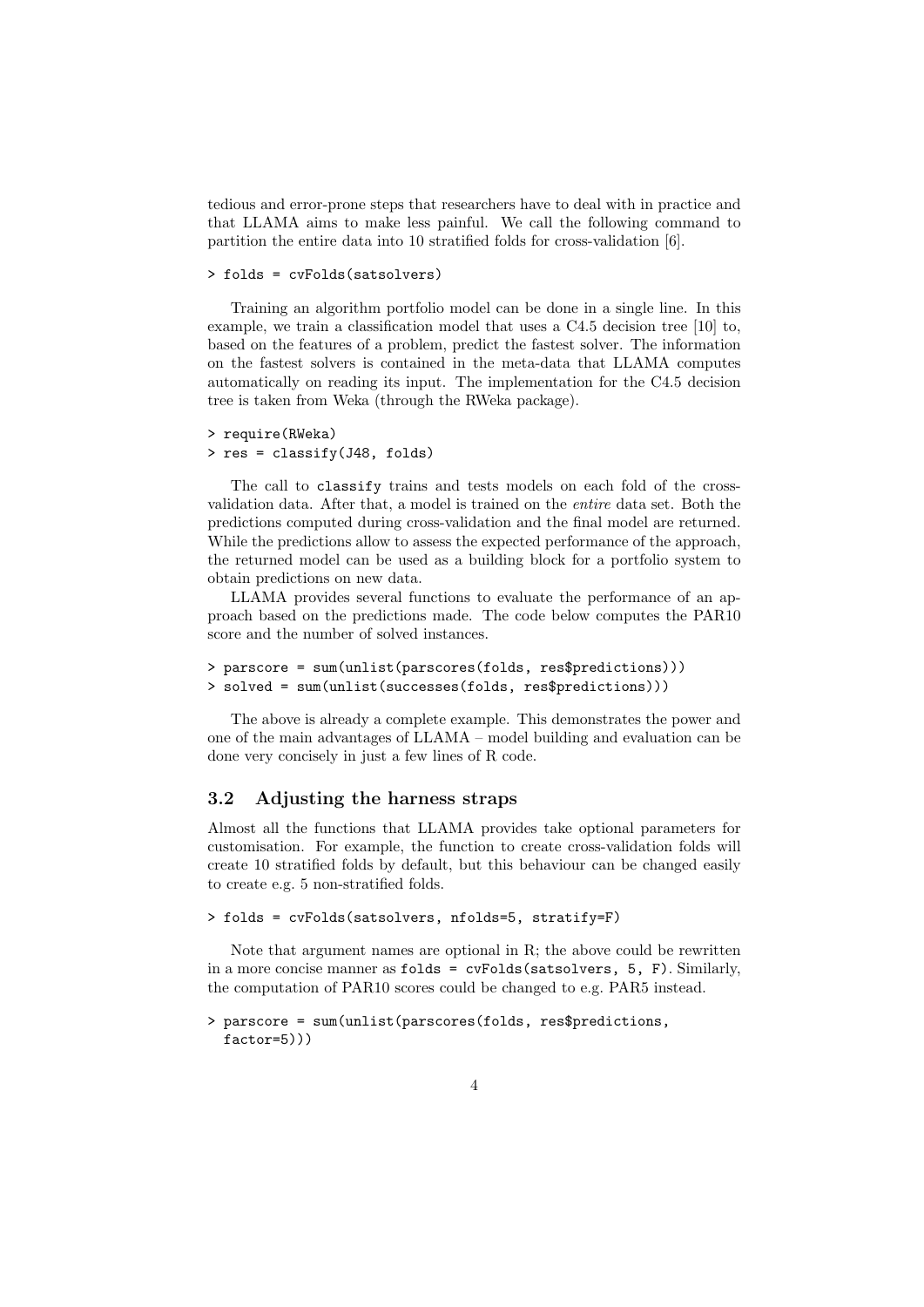tedious and error-prone steps that researchers have to deal with in practice and that LLAMA aims to make less painful. We call the following command to partition the entire data into 10 stratified folds for cross-validation [6].

```
> folds = cvFolds(satsolvers)
```
Training an algorithm portfolio model can be done in a single line. In this example, we train a classification model that uses a C4.5 decision tree [10] to, based on the features of a problem, predict the fastest solver. The information on the fastest solvers is contained in the meta-data that LLAMA computes automatically on reading its input. The implementation for the C4.5 decision tree is taken from Weka (through the RWeka package).

```
> require(RWeka)
```

```
> res = classify(J48, folds)
```
The call to classify trains and tests models on each fold of the crossvalidation data. After that, a model is trained on the *entire* data set. Both the predictions computed during cross-validation and the final model are returned. While the predictions allow to assess the expected performance of the approach, the returned model can be used as a building block for a portfolio system to obtain predictions on new data.

LLAMA provides several functions to evaluate the performance of an approach based on the predictions made. The code below computes the PAR10 score and the number of solved instances.

```
> parscore = sum(unlist(parscores(folds, res$predictions)))
> solved = sum(unlist(successes(folds, res$predictions)))
```
The above is already a complete example. This demonstrates the power and one of the main advantages of LLAMA – model building and evaluation can be done very concisely in just a few lines of R code.

#### **3.2 Adjusting the harness straps**

Almost all the functions that LLAMA provides take optional parameters for customisation. For example, the function to create cross-validation folds will create 10 stratified folds by default, but this behaviour can be changed easily to create e.g. 5 non-stratified folds.

```
> folds = cvFolds(satsolvers, nfolds=5, stratify=F)
```
Note that argument names are optional in R; the above could be rewritten in a more concise manner as  $folds = cvFolds(satsolvers, 5, F)$ . Similarly, the computation of PAR10 scores could be changed to e.g. PAR5 instead.

```
> parscore = sum(unlist(parscores(folds, res$predictions,
  factor=5)))
```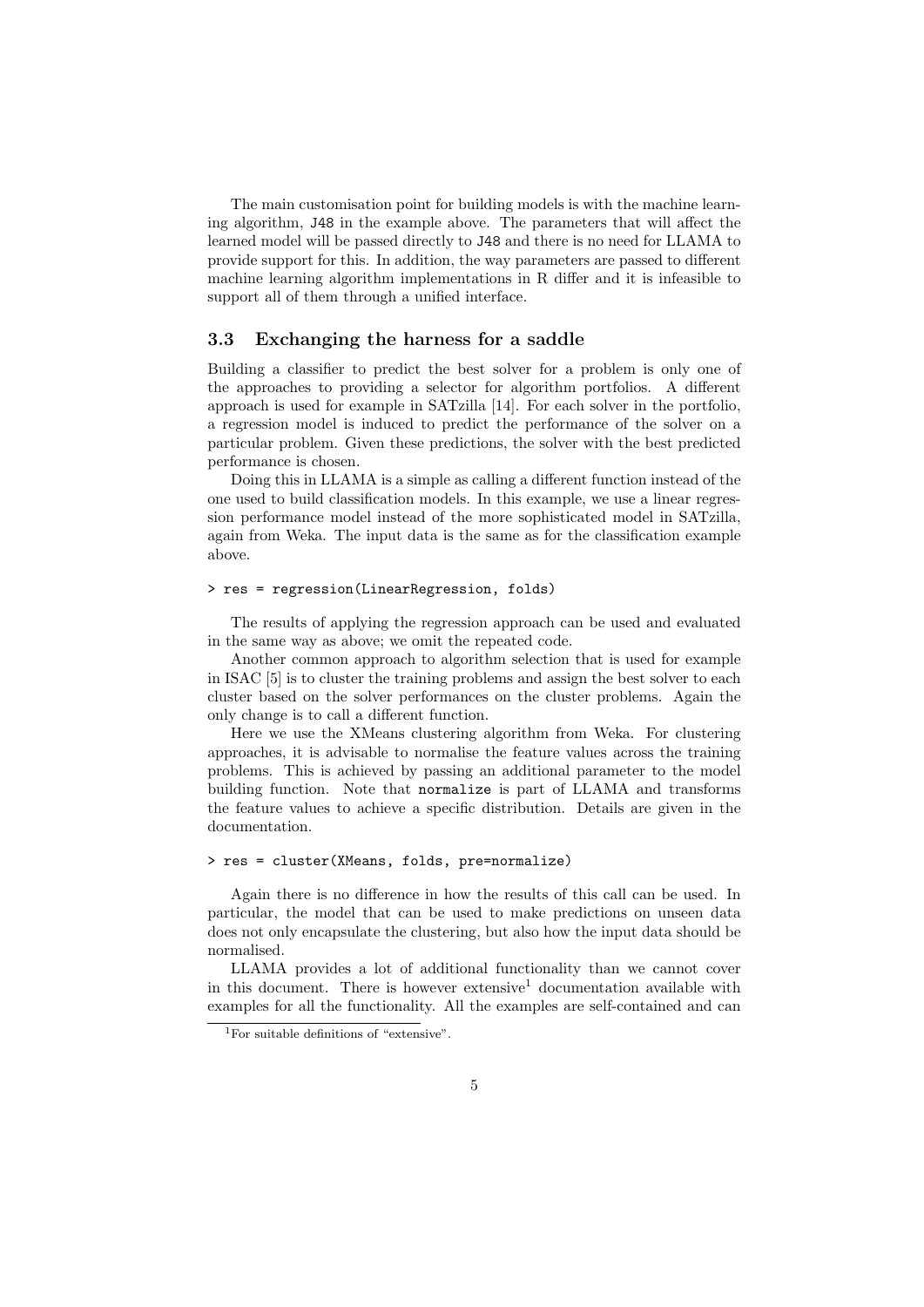The main customisation point for building models is with the machine learning algorithm, J48 in the example above. The parameters that will affect the learned model will be passed directly to J48 and there is no need for LLAMA to provide support for this. In addition, the way parameters are passed to different machine learning algorithm implementations in R differ and it is infeasible to support all of them through a unified interface.

#### **3.3 Exchanging the harness for a saddle**

Building a classifier to predict the best solver for a problem is only one of the approaches to providing a selector for algorithm portfolios. A different approach is used for example in SATzilla [14]. For each solver in the portfolio, a regression model is induced to predict the performance of the solver on a particular problem. Given these predictions, the solver with the best predicted performance is chosen.

Doing this in LLAMA is a simple as calling a different function instead of the one used to build classification models. In this example, we use a linear regression performance model instead of the more sophisticated model in SATzilla, again from Weka. The input data is the same as for the classification example above.

#### > res = regression(LinearRegression, folds)

The results of applying the regression approach can be used and evaluated in the same way as above; we omit the repeated code.

Another common approach to algorithm selection that is used for example in ISAC [5] is to cluster the training problems and assign the best solver to each cluster based on the solver performances on the cluster problems. Again the only change is to call a different function.

Here we use the XMeans clustering algorithm from Weka. For clustering approaches, it is advisable to normalise the feature values across the training problems. This is achieved by passing an additional parameter to the model building function. Note that normalize is part of LLAMA and transforms the feature values to achieve a specific distribution. Details are given in the documentation.

#### > res = cluster(XMeans, folds, pre=normalize)

Again there is no difference in how the results of this call can be used. In particular, the model that can be used to make predictions on unseen data does not only encapsulate the clustering, but also how the input data should be normalised.

LLAMA provides a lot of additional functionality than we cannot cover in this document. There is however extensive<sup>1</sup> documentation available with examples for all the functionality. All the examples are self-contained and can

<sup>1</sup>For suitable definitions of "extensive".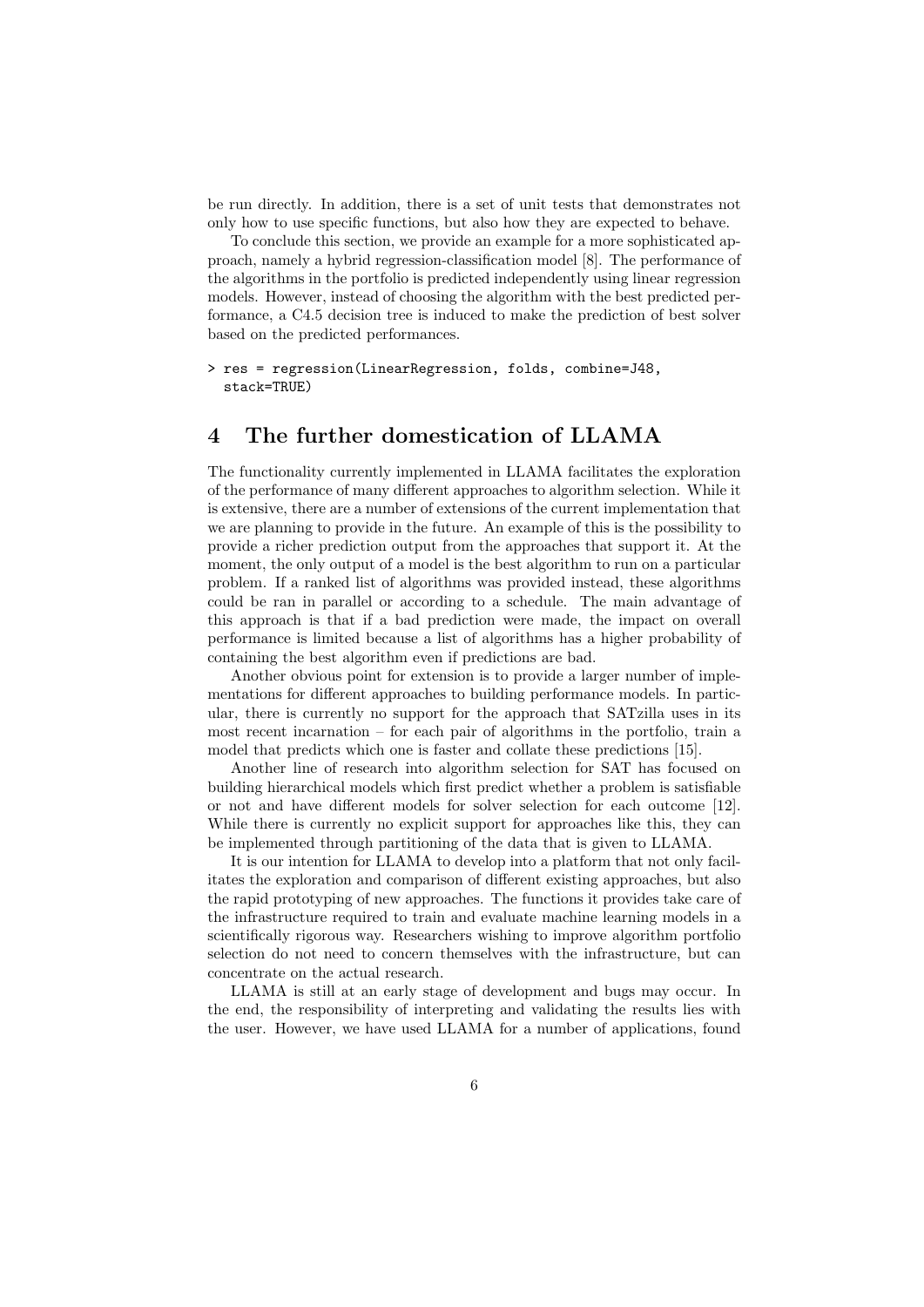be run directly. In addition, there is a set of unit tests that demonstrates not only how to use specific functions, but also how they are expected to behave.

To conclude this section, we provide an example for a more sophisticated approach, namely a hybrid regression-classification model [8]. The performance of the algorithms in the portfolio is predicted independently using linear regression models. However, instead of choosing the algorithm with the best predicted performance, a C4.5 decision tree is induced to make the prediction of best solver based on the predicted performances.

#### > res = regression(LinearRegression, folds, combine=J48, stack=TRUE)

# **4 The further domestication of LLAMA**

The functionality currently implemented in LLAMA facilitates the exploration of the performance of many different approaches to algorithm selection. While it is extensive, there are a number of extensions of the current implementation that we are planning to provide in the future. An example of this is the possibility to provide a richer prediction output from the approaches that support it. At the moment, the only output of a model is the best algorithm to run on a particular problem. If a ranked list of algorithms was provided instead, these algorithms could be ran in parallel or according to a schedule. The main advantage of this approach is that if a bad prediction were made, the impact on overall performance is limited because a list of algorithms has a higher probability of containing the best algorithm even if predictions are bad.

Another obvious point for extension is to provide a larger number of implementations for different approaches to building performance models. In particular, there is currently no support for the approach that SATzilla uses in its most recent incarnation – for each pair of algorithms in the portfolio, train a model that predicts which one is faster and collate these predictions [15].

Another line of research into algorithm selection for SAT has focused on building hierarchical models which first predict whether a problem is satisfiable or not and have different models for solver selection for each outcome [12]. While there is currently no explicit support for approaches like this, they can be implemented through partitioning of the data that is given to LLAMA.

It is our intention for LLAMA to develop into a platform that not only facilitates the exploration and comparison of different existing approaches, but also the rapid prototyping of new approaches. The functions it provides take care of the infrastructure required to train and evaluate machine learning models in a scientifically rigorous way. Researchers wishing to improve algorithm portfolio selection do not need to concern themselves with the infrastructure, but can concentrate on the actual research.

LLAMA is still at an early stage of development and bugs may occur. In the end, the responsibility of interpreting and validating the results lies with the user. However, we have used LLAMA for a number of applications, found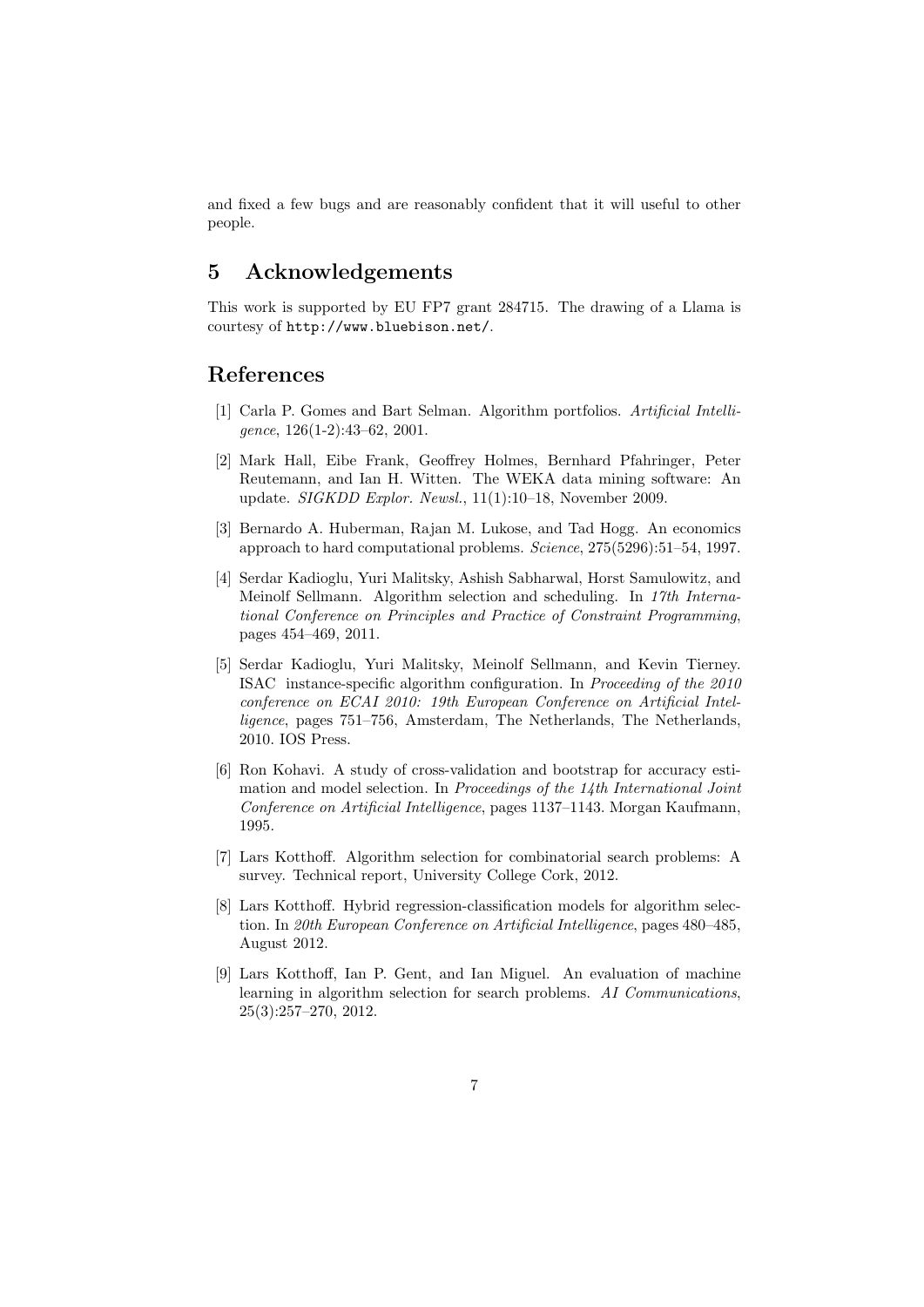and fixed a few bugs and are reasonably confident that it will useful to other people.

# **5 Acknowledgements**

This work is supported by EU FP7 grant 284715. The drawing of a Llama is courtesy of http://www.bluebison.net/.

### **References**

- [1] Carla P. Gomes and Bart Selman. Algorithm portfolios. *Artificial Intelligence*, 126(1-2):43–62, 2001.
- [2] Mark Hall, Eibe Frank, Geoffrey Holmes, Bernhard Pfahringer, Peter Reutemann, and Ian H. Witten. The WEKA data mining software: An update. *SIGKDD Explor. Newsl.*, 11(1):10–18, November 2009.
- [3] Bernardo A. Huberman, Rajan M. Lukose, and Tad Hogg. An economics approach to hard computational problems. *Science*, 275(5296):51–54, 1997.
- [4] Serdar Kadioglu, Yuri Malitsky, Ashish Sabharwal, Horst Samulowitz, and Meinolf Sellmann. Algorithm selection and scheduling. In *17th International Conference on Principles and Practice of Constraint Programming*, pages 454–469, 2011.
- [5] Serdar Kadioglu, Yuri Malitsky, Meinolf Sellmann, and Kevin Tierney. ISAC instance-specific algorithm configuration. In *Proceeding of the 2010 conference on ECAI 2010: 19th European Conference on Artificial Intelligence*, pages 751–756, Amsterdam, The Netherlands, The Netherlands, 2010. IOS Press.
- [6] Ron Kohavi. A study of cross-validation and bootstrap for accuracy estimation and model selection. In *Proceedings of the 14th International Joint Conference on Artificial Intelligence*, pages 1137–1143. Morgan Kaufmann, 1995.
- [7] Lars Kotthoff. Algorithm selection for combinatorial search problems: A survey. Technical report, University College Cork, 2012.
- [8] Lars Kotthoff. Hybrid regression-classification models for algorithm selection. In *20th European Conference on Artificial Intelligence*, pages 480–485, August 2012.
- [9] Lars Kotthoff, Ian P. Gent, and Ian Miguel. An evaluation of machine learning in algorithm selection for search problems. *AI Communications*, 25(3):257–270, 2012.